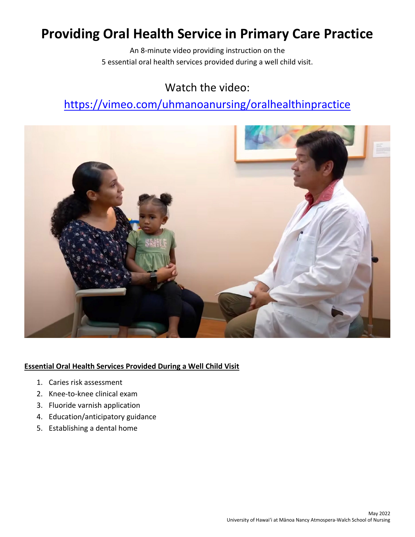# **Providing Oral Health Service in Primary Care Practice**

An 8-minute video providing instruction on the 5 essential oral health services provided during a well child visit.

### Watch the video:

## <https://vimeo.com/uhmanoanursing/oralhealthinpractice>



### **Essential Oral Health Services Provided During a Well Child Visit**

- 1. Caries risk assessment
- 2. Knee-to-knee clinical exam
- 3. Fluoride varnish application
- 4. Education/anticipatory guidance
- 5. Establishing a dental home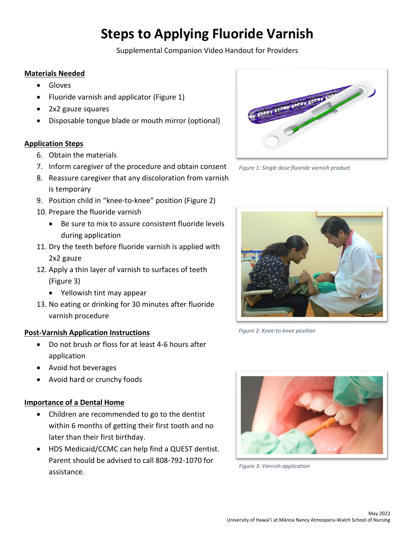# **Steps to Applying Fluoride Varnish**

Supplemental Companion Video Handout for Providers

### **Materials Needed**

- Gloves
- Fluoride varnish and applicator (Figure 1)
- 2x2 gauze squares
- Disposable tongue blade or mouth mirror (optional)

### **Application Steps**

- 6. Obtain the materials
- 7. Inform caregiver of the procedure and obtain consent
- 8. Reassure caregiver that any discoloration from varnish is temporary
- 9. Position child in "knee-to-knee" position (Figure 2)
- 10. Prepare the fluoride varnish
	- Be sure to mix to assure consistent fluoride levels during application
- 11. Dry the teeth before fluoride varnish is applied with 2x2 gauze
- 12. Apply a thin layer of varnish to surfaces of teeth (Figure 3)
	- Yellowish tint may appear
- 13. No eating or drinking for 30 minutes after fluoride varnish procedure

### **Post-Varnish Application Instructions**

- Do not brush or floss for at least 4-6 hours after application
- Avoid hot beverages
- Avoid hard or crunchy foods

### **Importance of a Dental Home**

- Children are recommended to go to the dentist within 6 months of getting their first tooth and no later than their first birthday.
- HDS Medicaid/CCMC can help find a QUEST dentist. Parent should be advised to call 808-792-1070 for assistance.



*Figure 1: Single dose fluoride varnish product*



*Figure 2: Knee-to-knee position*



*Figure 3: Varnish application*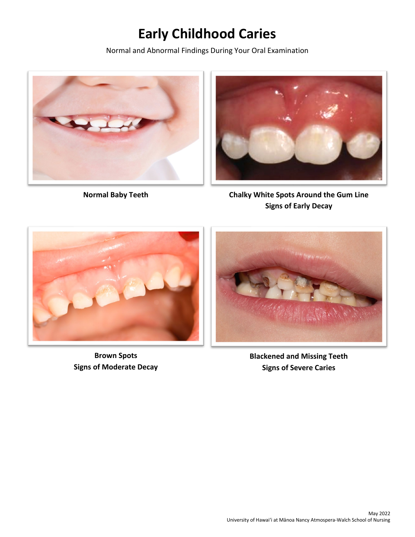# **Early Childhood Caries**

Normal and Abnormal Findings During Your Oral Examination





**Normal Baby Teeth Chalky White Spots Around the Gum Line Signs of Early Decay**



**Brown Spots Signs of Moderate Decay**



**Blackened and Missing Teeth Signs of Severe Caries**